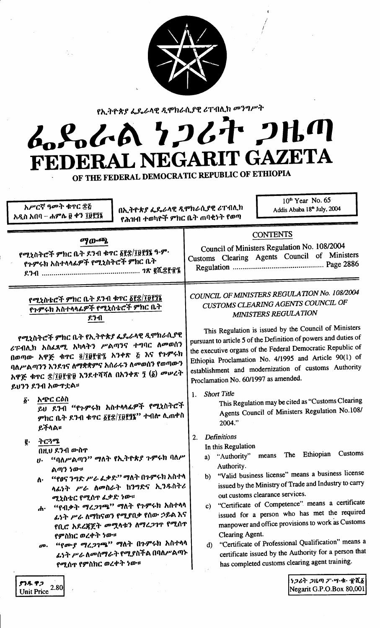

የኢትዮጵያ ፌዴራላዊ ዲሞክራሲያዊ ሪፐብሊክ መንግሥት

# ムパイム 1267 2HM **IT GAZETA** L NEGARI **FEDERA**

OF THE FEDERAL DEMOCRATIC REPUBLIC OF ETHIOPIA

አሥርኛ ዓመት ቁጥር ፰፭ አዲስ አበባ – ሐምሌ ፱ ቀን ፲፱፻፺፮

ያንዱ ዋጋ Unit Price 2.80 በኢትዮጵያ ፌዴራላዊ ዲሞክራሲያዊ ሪፐብሊክ የሕዝብ ተወካዮች ምክር ቤት ጠባቂነት የወጣ

 $10<sup>th</sup>$  Year No. 65 Addis Ababa 18<sup>th</sup> July, 2004

| ማውጫ<br>የሚኒስትሮች ምክር ቤት ዶንብ ቁጥር ፩፻፰/፲፱፻፺፮ ዓ·ም·<br>የጉምሩክ አስተላላፊዎች የሚኒስትሮች ምክር ቤት                                                                                                                                                                                                                                                                                                                                                | <b>CONTENTS</b><br>Council of Ministers Regulation No. 108/2004<br>Customs Clearing Agents Council of Ministers                                                                                                                                                                                                                                                                                                                                                                                                                                                                                                                                       |
|------------------------------------------------------------------------------------------------------------------------------------------------------------------------------------------------------------------------------------------------------------------------------------------------------------------------------------------------------------------------------------------------------------------------------|-------------------------------------------------------------------------------------------------------------------------------------------------------------------------------------------------------------------------------------------------------------------------------------------------------------------------------------------------------------------------------------------------------------------------------------------------------------------------------------------------------------------------------------------------------------------------------------------------------------------------------------------------------|
| የሚኒስቴሮች ምክር ቤት ዶንብ ቁጥር <u>δ፻</u> ፰/፲፱፻፺፮<br>የጉምሩክ አስተላላፊዎች የሚኒስቴሮች ምክር ቤት<br>ደንብ                                                                                                                                                                                                                                                                                                                                             | COUNCIL OF MINISTERS REGULATION No. 108/2004<br>CUSTOMS CLEARING AGENTS COUNCIL OF<br>MINISTERS REGULATION<br>This Regulation is issued by the Council of Ministers                                                                                                                                                                                                                                                                                                                                                                                                                                                                                   |
| የሚኒስትሮች ምክር ቤት የኢትዮጵያ ፌዴራላዊ ዲሞክራሲያዊ<br>ሪፑብሊክ አስፈጸሚ አካላትን ሥልጣንና ተግባር ለመወሰን<br>በወጣው አዋጅ ቁጥር ፬/፲፱፻፹፯ አንቀጽ ፭ እና የጉምሩክ<br>ባለሥልጣንን እንደገና ለማቋቋምና አሰራሩን ለመወሰን የወጣውን<br>አዋጅ ቁጥር ଛ/፲፱፻፹፱ እንደተሻሻለ በአንቀጽ ፺ (፩) መሠረት<br>ይህንን ደንብ አውዋቷል።                                                                                                                                                                                                   | pursuant to article 5 of the Definition of powers and duties of<br>the executive organs of the Federal Democratic Republic of<br>Ethiopia Proclamation No. 4/1995 and Article 90(1) of<br>establishment and modernization of customs Authority<br>Proclamation No. 60/1997 as amended.                                                                                                                                                                                                                                                                                                                                                                |
| አጭር ርዕስ<br>$\boldsymbol{\tilde{b}}$ .<br>ይህ ደንብ "የጉምሩክ አስተላላፊዎች የሚኒስትሮች<br>ምክር ቤት ደንብ ቁጥር ፩፻፷/፲፱፻፺፮'' ተብሎ ሊጠቀስ<br>ይችላል።                                                                                                                                                                                                                                                                                                      | <b>Short Title</b><br>1.<br>This Regulation may be cited as "Customs Clearing<br>Agents Council of Ministers Regulation No.108/<br>2004."                                                                                                                                                                                                                                                                                                                                                                                                                                                                                                             |
| ትርጓሜ<br>g.<br>በዚህ ደንብ ውስጥ<br>"ባለሥልጣን" ማለት የኢትዮጵያ ጉምሩክ ባለሥ<br>$\boldsymbol{v}$<br>ልጣን ነው።<br>''የፀና ንግድ ሥራ ፌቃድ'' ማለት በጉምሩክ አስተላ<br>Λ٠<br>ላፊነት ሥራ ለመስራት ከንግድና ኢንዱስትሪ<br>ሚኒስቴር የሚሰዋ ፌቃድ ነው።<br>"የብቃት ማረጋገጫ" ማለት የጉምሩክ አስተላላ<br>ፌነት ሥራ ለማከናወን የሚያበቃ የሰው ኃይል እና<br>የቢሮ አደረጃጀት መሟላቱን ለማረጋገጥ የሚሰጥ<br>የምስክር ወረቀት ነው።<br>"የሙያ ማረጋገጫ" ማለት በጉምሩክ አስተላሳ<br>$\boldsymbol{\sigma}$ .<br>ፌነት ሥራ ስመስማራት የሚያስችል በባለሥልጣኑ<br>የሚሰዋ የምስክር ወረቀት ነው። | <b>Definitions</b><br>2.<br>In this Regulation<br>Customs<br>The Ethiopian<br>means<br>a) "Authority"<br>Authority.<br>"Valid business license" means a business license<br>b)<br>issued by the Ministry of Trade and Industry to carry<br>out customs clearance services.<br>"Certificate of Competence" means a certificate<br>$\mathbf{C}$<br>issued for a person who has met the required<br>manpower and office provisions to work as Customs<br>Clearing Agent.<br>"Certificate of Professional Qualification" means<br>$\mathbf{d}$<br>certificate issued by the Authority for a person that<br>has completed customs clearing agent training. |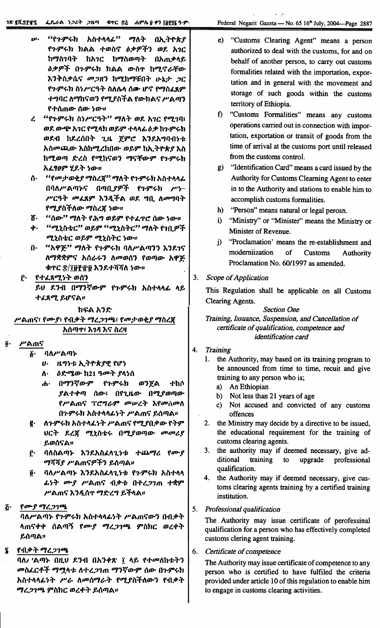- *ሥ. "የጉምሩክ አስተላላፊ" ማለት በኢትዮጵያ* f"'9"~h hAA *+milli lI:J>sP"f') m1.* }\1C ከማስገባት ከአገር ከማስወጣት በአጠቃላይ *lI:J>sP"f* O"'9"~h hAA *m-il1' h"7.lit-:fm-* እንቅስቃሴና *መጋ*ዘን ከሚከማቹበት ሁኔታ *ጋ*ር የ**ጉም**ሩክ ስነሥርዓት ስለሴላ ሰው ሆኖ የማስፈጸም ተግባር ለማከናወን የሚያስችል የውክልና ሥልጣን *f+()mm- ()m- ~m-::*
- *l* "f"'9"~h *il~P'C'T" "7I\T m1.* }\1C f"7.1l1i *m1. m-6f.8'*}\1C f"7."h *m~9"* +",,4. *II:J>h"'9"~h* ወደብ ከደረሰበት ጊዜ *ጀምሮ እን*ደአግባብ*ነቱ }\ilOD(JJ.m-* ~i\h"7.lhOm- *m~9"* hl\.Tf"kl *~il* ከሚወጣ ድረስ የሚከናወን ማናቸውም የ**ጉም**ሩክ }\L '89" *'l1.T ~m-::*
- ሰ· *"የመታወቂያ ማስረጀ" ማለት የኍምሩክ አስተላላፊ* በባለሥልጣኑና በጣቢ*ያዎች የኍ*ምሩክ ሥነ– *P'C'*3ት መፈጸም እንዲችል ወደ ግቢ ለመግባት f"7.1i\"fftm- *"7illi{ ~m-::*
- ሽ· *"*ሰው'' ማለት የሕግ ወይም የተፈዋሮ ሰው ነው።
- ቀ· *"ሚኒ*ስቴር" ወይም "ሚኒስትር" ማለት የገቢዎች *"7.til-f:C m~9" "7.tilTC ~m-::*
- በ· "አዋጅ" ማለት የኍምሩክ ባለሥልጣንን እንደ1ና ft"7\*\*9"'i *}\()t-~1 ftODm()1* fmllJm- }\";E-ቱ**ተር <u>ድ/፲፱፻</u>፹፱ እንደተሻሻለ** *ነው።*
- ፫· የተፈጸሚነት ወሰን
	- ይህ ደንብ በማንኛውም የጉምሩክ አስተላላፊ ላይ ተፈጸሚ ይሆናል**።**

ከፍል አንድ

ሥልጠና፣ የሙያ፣ የብቃት ማረ*ጋገ*ጫ፣ የመታወቂያ ማስረጀ }\()IIJ1':*~1J;* ~'i *ill.,*

- $\ddot{\mathbf{g}}$ · ሥልጠና
	- δ· ባለሥልጣኑ
		- $v \cdot$  *H95ቱ ኢትዮጵያዊ የሆነ*
		- ለ· *ዕድሚው* ከ21 ዓ*መት ያ*ላነሰ
		- *ሐ*· በማንኛውም የ*ጉምሩ*ክ ወንጀል ተከሶ  $\ell$ ልተቀጣ ሰው፣ በየጊዜው በሚያወጣው የሥልጠና ፕሮግራም *መ*ሠረት እየመስመስ በ**ጉምሩክ አስተላላፊ**ነት ሥልጠና ይሰጣል፡፡
	- I' ft"'9"~h *}\i\+"L~T* P'Am'i f"7.10:J>m- fT9" tJCT *I.li{ "7.til-f:~* 0"7.1mllJm- *ODODtl*  $~$ ይወሰናል።
	- $\tilde{r}$ · ባለስልጣኑ እንደአስፈላጊነቱ ተጨማሪ የሙያ *ማሻሻያ ሥ*ልጠናዎችን ይሰጣል፡፡
	- $\tilde{g}$ · ባለሥልጣኑ እንደአስፈላጊነቱ የጉምሩክ አስተላላ *ፌነት ሙያ ሥ*ልጠና ብቃቱ በተረ*ጋገ*ጠ ተቋም P'Am'i ~1Jl()1' *"7~l"* ~"f"A.::
- የሙያ ማረጋገጫ  $\bm{\bar{G}}$  .

ባለሥልጣኑ የ**ጉምሩክ አስተላላ**ፊነት ሥልጠናውን በብቃት ሳ**ጠናቀቀ ሰል**ጣኝ የሙ*ያ ግረጋገ*ጫ ምስክር ወረቀት ይሰጣል።

i fl1:J>T *"7l;J11iliJ.*

ባለ*i* 'ልጣኑ በዚህ ደንብ በአንቀጽ ፲ ላይ የተመለከቱትን *መ*ስፈርቶች ማሟላቱ ለተረ*ጋገ*ጠ ማንኛውም ሰው በጉምሩከ *አስተላላፊነት ሥራ ለመሰማራት የሚያስችለውን የብቃት ግረጋገጫ ምስክር ወረቀት ይሰጣ*ል፡፡

- e) "Customs Clearing Agent" means a person authorized to deal with the customs, for and on behalf of another person, to carry out customs formalities related with the importation, exportation and in general with the movement and storage of such goods within the customs territory of Ethiopia.
- f) "Customs Formalities" means any customs operations carried out in connection with importation, exportation or transit of goods from the time of arrival at the customs port until released from the customs control.
- g) "Identification Card" means a card issued by the Authority for Customs Clearning Agent to enter in to the Authority and stations to enable him to accomplish customs formalities.
- h) "Person" means natural or legal perosn.
- i) "Ministry" or "Minister" means the Ministry or Minister of Revenue.
- j) "Proclamation' means the re-establishment and modemiization of Customs Authority Proclamation No. 60/1997 as amended.
- 3. *Scope of Application*

This Regulation shall be applicable on all Customs Clearing Agents.

# *Section One*

*Training, Issuance, Suspension, and Cancellafion of certificate of qualification, competence and identification card*

- 4. *Training*
	- 1. the Authority, may based on its training program to be announced from time to time, recuit and give training to any person who is;
		- a) An Ethiopian
		- b) Not less than 21 years of age
		- c) Not accused and convicted of any customs offences
	- 2. the Ministry may decide by a directive to be issued, the educational requirement for the training of customs clearing agents.
	- 3. the authority may if deemed necessary, give additional training to upgrade professional qualification.
	- 4. the Authority may if deemed necessary, give customs clearing agents training by a certified training institution. .
- 5. *Professional qualification*

The Authority may issue certificate of perofessinal qualification for a person who has effectively completed customs clering agent training.

6. *Certificate of competence*

The Authority may issue certificate of competence to any person who is certified to have fulfiled the criteria provided under article 10 of this regulation to enable him to engage in customs clearing activities.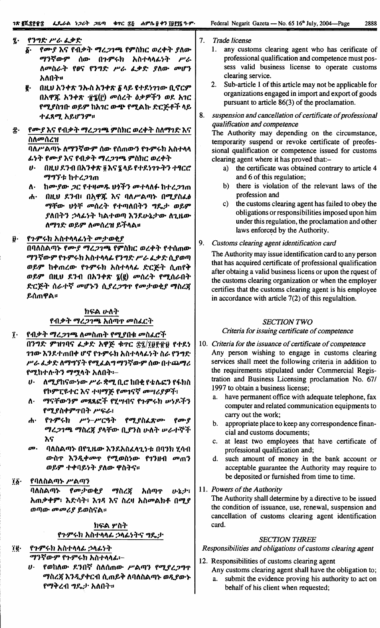#### የንግድ ሥራ ፊቃድ  $\boldsymbol{r}$ .

- የሙያ እና የብቃት ማረጋገጫ የምስክር ወረቀት ያለው Б. ማንኛውም ሰው በንምሩክ አስተላላፊነት  $P/c$ ለመስራት የፀና የንግድ ሥራ ፌቃድ ያለው መሆን አለበት።
- በዚሀ አንቀጽ ንኡስ አንቀጽ δ ላይ የተደነገገው ቢኖርም ę. በአዋጁ አንቀጽ ፹፮(፫) መሰረት ዕቃዎችን ወደ አገር የሚያስገቡ ወይም ከአገር ውጭ የሚልኩ ድርጅቶች ላይ ተፈጸማ አይሆንም።
- የሙያ እና የብቃት ማረ*ጋገጫ* ምስክር ወረቀት ስለማገድ እና Ϊ. ስለመሰረዝ

ባለሥልጣኑ ለማንኛውም ሰው የሰጠውን የጉምሩክ አስተላላ ፌነት የሙያ እና የብቃት ማረጋገጫ ምስክር ወረቀት

- በዚህ ደንብ በአንቀጽ ፬ እና ኜ ላይ የተደነገጉትን ተፃርሮ ማግኘቱ ከተረጋገጠ
- ከሙያው ጋር የተዛመዱ ህጎችን መተላለፉ ከተረጋገጠ  $\Lambda$
- በዚህ ደንብ፣ በኢዋጁ እና ባለሥልጣኑ በሚያስፌል  $\ddot{\mathbf{d}}$ ማቸው ህጎቸ መሰረት የተጣለበትን ግዴታ ወይም ያለበትን ኃላፊነት ካልተወጣ እንደሁኔታው ለጊዜው ለማገድ ወይም ለመሰረዝ ይችላል፡፡
- የጉምሩክ አስተላላፊነት መታወቂያ ß.

በባለስልጣኑ የሙያ ማረ*ጋገ*ጫ የምስክር ወረቀት የተሰጠው ማንኛውም የጉምሩክ አስተላላፊ የንግድ ሥራ ፌቃድ ሲያወጣ ወይም ከቀጠረው የጉምሩክ አስተላላፊ ድርጅት ሲጠየቅ ወይም በዚህ ደንብ በአንቀጽ ፯(፪) መሰረት የሚሰራበት ድርጅት ሰራተኛ መሆኑን ሲያረጋግጥ የመታወቂያ ማስረጀ ይሰጠዋል።

# ከፍል ሁለት የብቃት ማረጋገጫ አሰጣጥ መስፌርት

- የብቃት ማረጋገጫ ለመስጠት የሚያበቁ መስፈሮች  $\mathbf{\tilde{i}}$ በንግድ ምዝገባና ፈቃድ አዋጅ ቁጥር ድ፯/፲፱፻፹፱ የተደነ *ገገው* እንደተጠበቀ ሆኖ የጉምሩክ አስተላላፊነት ስራ የንግድ ሥራ ፌቃድ ለማግኘት የሚፈልግ ማንኛውም ሰው በተጨማሪ የሚከተሉትን ማሟላት አለበት፡–
	- $\boldsymbol{v}$ . ለሚያከናውነው ሥራ ቋሚ ቢሮ ከበቂ የቴሌፎን የፋክስ የኮምፒዩተር እና ተዛማጅ የመገናኛ መሣሪያዎች፣
	- ማናቸውንም መጻጻፎች የሂሣብና የጉምሩክ ሥነዶችን Λ. የሚያስቀምጥበት ሥፍራ፣
	- የጉምሩክ ሥነ-ሥርዓት የሚያስፈጽሙ የሙያ ሐ∙ ማረጋገጫ ማስረጀ ያላቸው ቢያንስ ሁለት ሥራተኞች እና
	- æ. ባለስልጣኑ በየጊዜው እንደአስፈላጊንቱ በባንክ ሂሳብ ውስጥ እንዲቀመጥ የሚወስነው የገንዘብ መጠን ወይም ተቀባይነት ያለው ዋስትና።

#### $\overline{16}$ . የባለስልጣኑ ሥልጣን

የመታወቂያ ማስረጃ አሰጣጥ ባለስልጣኑ ひとりて አጠቃቀም፥ እድሳት፥ እንዳ እና ስረዛ አስመልክቶ በሚያ ወጣው *መመሪያ ይ*ወስናል።

# ክፍል ሦስት የጉምሩክ አስተላላፊ ኃላፊነትና ግዴታ

#### የጉምሩክ አስተላላፊ ኃላፊነት ïğ∙ ማንኛውም የጉምሩክ አስተላላፊ፦

ሀ· የወከለው ደንበኛ ስለሰጠው ሥልጣን የሚያረጋግጥ ማስረጃ እንዲያቀርብ ሲጠይቅ ለባለስልጣኑ ወዲያውኑ የማቅረብ ግጼታ አለበት።

- $7<sub>1</sub>$ Trade license
	- 1. any customs clearing agent who has cerificate of professional qualification and competence must possess valid business license to operate customs clearing service.
	- $2.$ Sub-article 1 of this article may not be applicable for organizations engaged in import and export of goods pursuant to article 86(3) of the proclamation.
- 8. suspension and cancellation of certificate of professional qualification and competence

The Authority may depending on the circumstance, temporarity suspend or revoke certificate of preofessional qualification or competence issued for customs clearing agent where it has proved that:-

- a) the certificate was obtained contrary to article 4 and 6 of this regulation;
- b) there is violation of the relevant laws of the profession and
- c) the customs clearing agent has failed to obey the obligations or responsibilities imposed upon him under this regulation, the proclamation and other laws enforced by the Authority.

#### 9. Customs clearing agent identification card

The Authority may issue identification card to any person that has acquired certificate of professional qualification after obtaing a valid business licens or upon the rquest of the customs clearing organization or when the employer certifies that the customs clearing agent is his employee in accordance with article  $7(2)$  of this regulaltion.

# **SECTION TWO**

### Criteria for issuing certificate of competence

- 10. Criteria for the issuance of certificate of competence Any person wishing to engage in customs clearing services shall meet the following criteria in addition to the requirements stipulated under Commercial Registration and Business Licensing proclamation No. 67/ 1997 to obtain a business license;
	- a. have permanent office with adequate telephone, fax computer and related communication equipments to carry out the work;
	- b. appropriate place to keep any correspondence financial and customs documents;
	- c. at least two employees that have certificate of professional qualification and;
	- d. such amount of money in the bank account or acceptable guarantee the Authority may require to be deposited or furnished from time to time.
- 11. Powers of the Authority

The Authority shall determine by a directive to be issued the condition of issuance, use, renewal, suspension and cancellation of customs clearing agent identification card.

### **SECTION THREE**

# Responsibilities and obligations of customs clearing agent

- 12. Responsibilities of customs clearing agent
	- Any customs clearing agent shall have the obligation to; a. submit the evidence proving his authority to act on behalf of his client when requested;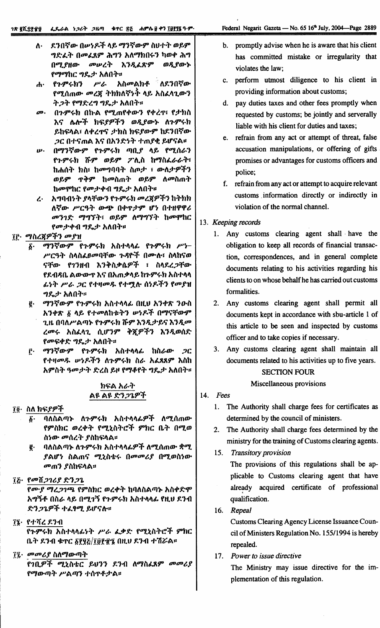- ለ· ደንበኛው በሥነዶች ላይ ማንኛውም ስህተት ወይም ግድፌት በመፌጸም ሕግን አለማክበሩን ካወቀ ሕግ በሚያዘው *መ*ሥረት እንዲፈጽም ወዲያውኍ የማማከር ግዴታ አለበት።
- ሥራ አስመልክቶ ለደንበኛው  $\mathbf{A}$ የጉምሩክን የሚሰጠው መረጀ ትክክለኛነት ላይ አስፈላጊውን ት ጋት የማድረግ ግዴታ አለበት።
- በጉምሩክ በኩል የሚጠየቀውን የቀረጥ የታክስ  $\boldsymbol{m}$ . እና ሌሎች ክፍያዎችን ወዲያውኑ ለጉምሩክ ይከፍላል፣ ለቀረጥና ታክስ ክፍያውም ከደንበኛው *ጋ*ር በተናጠል እና በአንድነት ተጠያቂ ይሆናል፡፡
- በማንኛውም የጉምሩክ ጣቢያ ላይ የሚሰራን ip. የጉምሩክ ሹም ወይም ፖሊስ ከማስፌራራት፣ ከሐሰት ክስ፣ ከመግባባት ስጦታ ፣ ውለታዎችን ወይም ጥቅም ከመስጠት ወይም ለመስጠት ከመሞከር የመታቀብ ግዴታ አለበት።
- ረ· ለግባብነት ያላቸውን የጉምሩክ መረጀዎችን ከትክክ ለኛው ሥርዓት ውጭ በቀጥታም ሆነ በተዘዋዋሪ መንገድ ማግኘት፣ ወይም ለማግኘት ከመሞከር የመታቀብ ግዴታ አለበት።

#### ፲፫· *ማ*ስረጃዎችን መያዝ

- ማንኛውም የጉምሩክ አስተላላፊ የጉምሩክ ሥነδ٠ ሥርዓት ስላስፌፀመባቸው ጉዳዮች በሙሉ፣ ስላከናወ ናቸው የገንዘብ እንቅስቃሴዎች ፣ ስላደረ*ጋ*ቸው የደብዳቤ ልውውጥ እና በአጠቃላይ ከጉምሩክ አስተላላ ፊነት ሥራ ጋር የተዛመዱ የተሚሉ ሰነዶችን የመያዝ ግዴታ አለበት።
- ማንኛውም የጉምሩክ አስተላላፊ በዚህ አንቀጽ ንውስ e. አንቀጽ ፩ ላይ የተመለከቱትን ሥነዶች በማናቸውም ጊዜ በባለሥልጣኑ የጉምሩክ ሹም እንዲታይና እንዲመ ረመሩ አስፈላጊ ሲሆንም ቅጇዎችን እንዲወሰድ የመፍቀድ ግዴታ አለበት።
- ማንኛውም የጉምሩክ አስተላላፊ ከሰራው *ጋ*ር ŕ٠. *የተዛመዱ ሡነዶችን ለኍምሩክ ስራ አፌ*ጸጸም እስከ አምስት ዓመታት ድረስ ይዞ የማቆየት ግዴታ አለበት፡፡

# ክፍል አራት <u>ልዩ ልዩ ድንጋጌዎች</u>

# ፲፬· ስለ ክፍ*ያዎች*

- ባለስልጣኑ ለጉምሩክ አስተላላፊዎች ለሚሰጠው δ. የምስክር ወረቀት የሚኒስትሮች ምክር ቤት በሚወ ስነው መሰረት ያስከፍላል፡፡
- ባለስልጣኑ ለጉምሩክ አስተላላፊዎች ለሚሰጠው ቋሚ ę. ያልሆነ ስልጠና ሚኒስቴሩ በመመሪያ በሚወስነው *መጠን ያስከፍላል፡*፡

### ፲፩· የመሽጋገሪያ ድንጋጌ

የሙያ ማረጋገጫ የምስክር ወረቀት ከባለስልጣኑ አስቀድሞ አማኝቶ በስራ ላይ በሚገኝ የጉምሩክ አስተላላፊ የዚህ ደንብ ድንጋጌዎች ተፈፃሚ ይሆናሉ።

፲፮· የተሻረ ደንብ የጉምሩክ አስተላላፊነት ሥራ ፈቃድ የሚኒስትሮች ምክር ቤት ደንብ ቁጥር ፩፻፶፩/፲፱፻፹፮ በዚህ ደንብ ተሽሯል።

# ፲፯· መመሪያ ስለማውጣት

የገቢዎች ሚኒስቴር ይህንን ደንብ ለማስፈጸም መመሪያ የማውጣት ሥልጣን ተሰጥቶታል፡፡

- b. promptly advise when he is aware that his client has committed mistake or irregularity that violates the law;
- c. perform utmost diligence to his client in providing information about customs;
- d. pay duties taxes and other fees promptly when requested by customs; be jointly and serverally liable with his client for duties and taxes;
- e. refrain from any act or attempt of threat, false accusation manipulations, or offering of gifts promises or advantages for customs officers and police;
- f. refrain from any act or attempt to acquire relevant customs information directly or indirectly in violation of the normal channel.

### 13. Keeping records

- 1. Any customs clearing agent shall have the obligation to keep all records of financial transaction, correspondences, and in general complete documents relating to his activities regarding his clients to on whose behalf he has carried out customs formalities.
- 2. Any customs clearing agent shall permit all documents kept in accordance with sbu-article 1 of this article to be seen and inspected by customs officer and to take copies if necessary.
- 3. Any customs clearing agent shall maintain all documents related to his activities up to five years.

### **SECTION FOUR**

#### Miscellaneous provisions

- 14. Fees
	- 1. The Authority shall charge fees for certificates as determined by the council of ministers.
	- 2. The Authority shall charge fees determined by the ministry for the training of Customs clearing agents.
	- 15. Transitory provision

The provisions of this regulations shall be applicable to Customs clearing agent that have already acquired certificate of professional qualification.

16. Repeal

Customs Clearing Agency License Issuance Council of Ministers Regulation No. 155/1994 is hereby repealed.

17. Power to issue directive

The Ministry may issue directive for the implementation of this regulation.